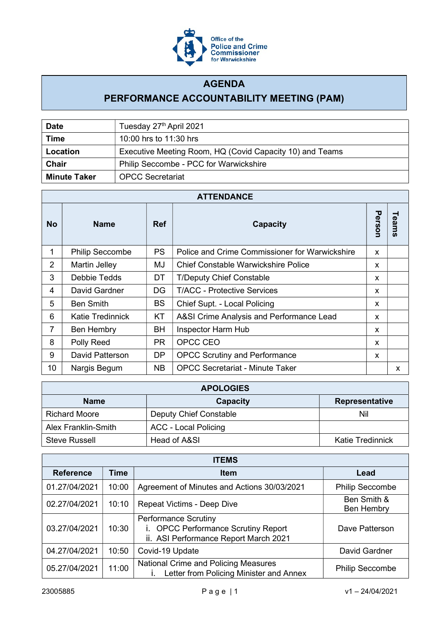

## AGENDA

## PERFORMANCE ACCOUNTABILITY MEETING (PAM)

| <b>Date</b>         | Tuesday 27th April 2021                                  |  |
|---------------------|----------------------------------------------------------|--|
| <b>Time</b>         | 10:00 hrs to 11:30 hrs                                   |  |
| Location            | Executive Meeting Room, HQ (Covid Capacity 10) and Teams |  |
| <b>Chair</b>        | Philip Seccombe - PCC for Warwickshire                   |  |
| <b>Minute Taker</b> | <b>OPCC Secretariat</b>                                  |  |

| <b>ATTENDANCE</b> |                         |            |                                                |        |       |
|-------------------|-------------------------|------------|------------------------------------------------|--------|-------|
| <b>No</b>         | <b>Name</b>             | <b>Ref</b> | Capacity                                       | Person | Teams |
|                   | <b>Philip Seccombe</b>  | <b>PS</b>  | Police and Crime Commissioner for Warwickshire | X      |       |
| $\overline{2}$    | Martin Jelley           | MJ         | <b>Chief Constable Warwickshire Police</b>     | X      |       |
| 3                 | Debbie Tedds            | <b>DT</b>  | <b>T/Deputy Chief Constable</b>                | X      |       |
| 4                 | David Gardner           | DG         | <b>T/ACC - Protective Services</b>             | X      |       |
| 5                 | <b>Ben Smith</b>        | BS         | Chief Supt. - Local Policing                   | X      |       |
| 6                 | <b>Katie Tredinnick</b> | KT         | A&SI Crime Analysis and Performance Lead       | X      |       |
| 7                 | Ben Hembry              | <b>BH</b>  | Inspector Harm Hub                             | X      |       |
| 8                 | Polly Reed              | <b>PR</b>  | OPCC CEO                                       | X      |       |
| 9                 | David Patterson         | <b>DP</b>  | <b>OPCC Scrutiny and Performance</b>           | X      |       |
| 10                | Nargis Begum            | <b>NB</b>  | <b>OPCC Secretariat - Minute Taker</b>         |        | X     |

| <b>APOLOGIES</b>     |                             |                         |  |  |
|----------------------|-----------------------------|-------------------------|--|--|
| <b>Name</b>          | <b>Capacity</b>             | <b>Representative</b>   |  |  |
| <b>Richard Moore</b> | Deputy Chief Constable      | Nil                     |  |  |
| Alex Franklin-Smith  | <b>ACC - Local Policing</b> |                         |  |  |
| <b>Steve Russell</b> | Head of A&SI                | <b>Katie Tredinnick</b> |  |  |

| <b>ITEMS</b>     |             |                                                                                                             |                                  |  |  |
|------------------|-------------|-------------------------------------------------------------------------------------------------------------|----------------------------------|--|--|
| <b>Reference</b> | <b>Time</b> | <b>Item</b>                                                                                                 | Lead                             |  |  |
| 01.27/04/2021    | 10:00       | Agreement of Minutes and Actions 30/03/2021                                                                 | <b>Philip Seccombe</b>           |  |  |
| 02.27/04/2021    | 10:10       | Repeat Victims - Deep Dive                                                                                  | Ben Smith &<br><b>Ben Hembry</b> |  |  |
| 03.27/04/2021    | 10:30       | <b>Performance Scrutiny</b><br>i. OPCC Performance Scrutiny Report<br>ii. ASI Performance Report March 2021 | Dave Patterson                   |  |  |
| 04.27/04/2021    | 10:50       | Covid-19 Update                                                                                             | David Gardner                    |  |  |
| 05.27/04/2021    | 11:00       | National Crime and Policing Measures<br>Letter from Policing Minister and Annex                             | <b>Philip Seccombe</b>           |  |  |